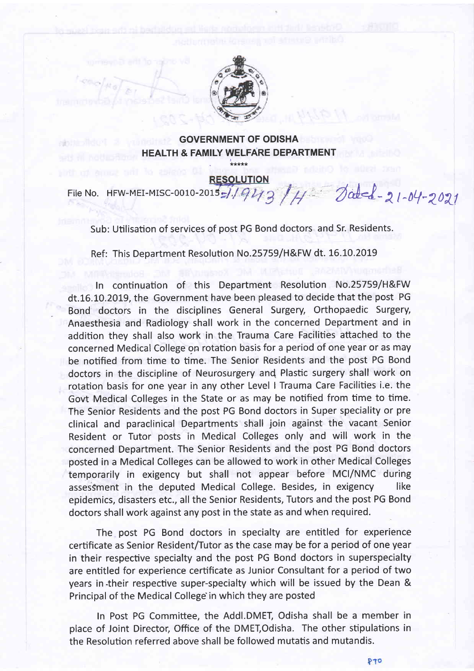

## GOVERNMENT OF ODISHA HEALTH & FAMILY WELFARE DEPARTMENT

\*\*\*\*\*

File No. HFW-MEI-MISC-0010-2015-1.1943 /4 Jabel-21-04-2021

Sub: Utilisation of services of post PG Bond doctors and Sr. Residents.

Ref: This Department Resolution No.25759/H&FW dt. 16.10.2019

In continuation of this Department Resolution No.25759/H&FW dt.16.10.2019, the Government have been pleased to decide that the post PG Bond doctors in the disciplines General Surgery, Orthopaedic Surgery, Anaesthesia and Radiology shall work in the concerned Department and in addition they shall also work in the Trauma Care Facilities attached to the concerned Medical College on rotation basis for a period of one year or as may be notified from time to time. The Senior Residents and the post PG Bond doctors in the discipline of Neurosurgery and Plastic surgery shall work on rotation basis for one year in any other Level I Trauma Care Facilities i.e. the Govt Medical Colleges in the State or as may be notified from time to time. The Senior Residents and the post PG Bond doctors in Super speciality or pre clinical and paraclinical Departments shall join against the vacant Senior Resident or Tutor posts in Medical Colleges only and will work in the concerned Department. The Senior Residents and the post PG Bond doctors posted in a Medical Colleges can be allowed to work in other Medical Colleges temporarily in exigency but shall not appear before MCI/NMC during assessment in the deputed Medical College. Besides, in exigency like epidemics, disasters etc., all the Senior Residents, Tutors and the post PG Bond doctors shall work against any post in the state as and when required.

The post PG Bond doctors in specialty are entitled for experience certificate as Senior Resident/Tutor as the case may be for a period of one year in their respective specialty and the post PG Bond doctors in superspecialty are entitled for experience certificate as Junior Consultant for a period of two years in their respective super-specialty which will be issued by the Dean & Principal of the Medical College in which they are posted

In Post PG Committee, the Addl.DMET, Odisha shall be a member in place of Joint Director, Office of the DMEI,Odisha. The other stipulations in the Resolution referred above shall be followed mutatis and mutandis.